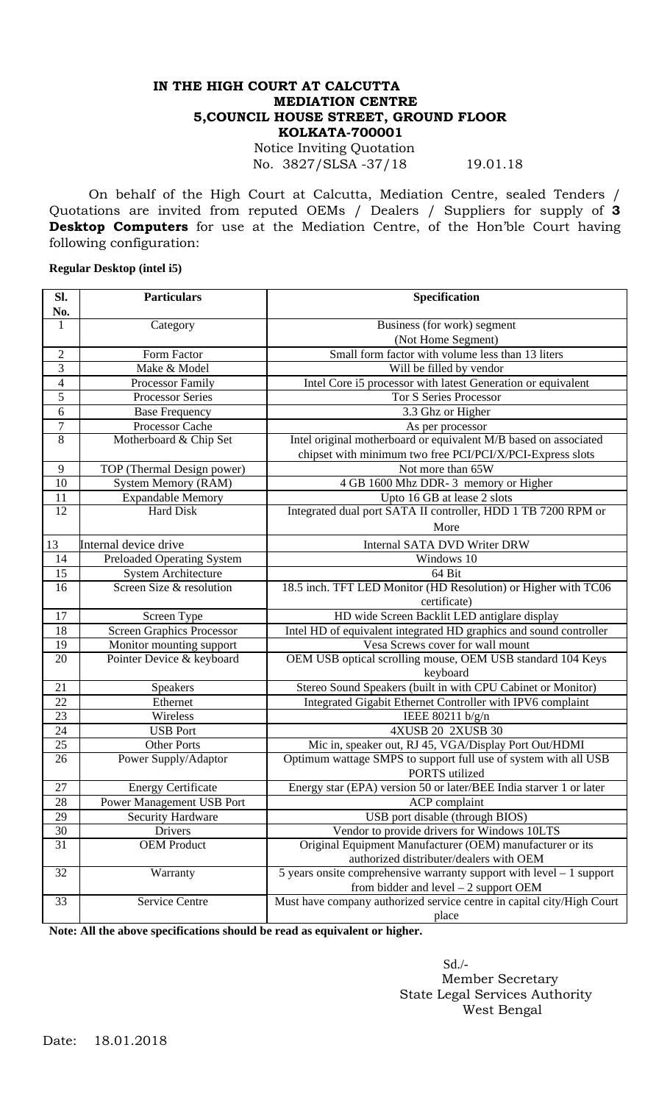## **IN THE HIGH COURT AT CALCUTTA MEDIATION CENTRE 5,COUNCIL HOUSE STREET, GROUND FLOOR KOLKATA-700001**

Notice Inviting Quotation No. 3827/SLSA -37/18 19.01.18

On behalf of the High Court at Calcutta, Mediation Centre, sealed Tenders / Quotations are invited from reputed OEMs / Dealers / Suppliers for supply of **3 Desktop Computers** for use at the Mediation Centre, of the Hon'ble Court having following configuration:

## **Regular Desktop (intel i5)**

| Sl.             | <b>Particulars</b>                | Specification                                                          |
|-----------------|-----------------------------------|------------------------------------------------------------------------|
| No.             |                                   |                                                                        |
| $\mathbf{1}$    | Category                          | Business (for work) segment                                            |
|                 |                                   | (Not Home Segment)                                                     |
| $\overline{c}$  | Form Factor                       | Small form factor with volume less than 13 liters                      |
| 3               | Make & Model                      | Will be filled by vendor                                               |
| $\overline{4}$  | Processor Family                  | Intel Core i5 processor with latest Generation or equivalent           |
| 5               | <b>Processor Series</b>           | <b>Tor S Series Processor</b>                                          |
| 6               | <b>Base Frequency</b>             | 3.3 Ghz or Higher                                                      |
| $\overline{7}$  | Processor Cache                   | As per processor                                                       |
| $\overline{8}$  | Motherboard & Chip Set            | Intel original motherboard or equivalent M/B based on associated       |
|                 |                                   | chipset with minimum two free PCI/PCI/X/PCI-Express slots              |
| 9               | TOP (Thermal Design power)        | Not more than 65W                                                      |
| $\overline{10}$ | <b>System Memory (RAM)</b>        | 4 GB 1600 Mhz DDR-3 memory or Higher                                   |
| 11              | <b>Expandable Memory</b>          | Upto 16 GB at lease 2 slots                                            |
| $\overline{12}$ | Hard Disk                         | Integrated dual port SATA II controller, HDD 1 TB 7200 RPM or          |
|                 |                                   | More                                                                   |
| 13              | Internal device drive             | <b>Internal SATA DVD Writer DRW</b>                                    |
| 14              | <b>Preloaded Operating System</b> | Windows 10                                                             |
| 15              | <b>System Architecture</b>        | 64 Bit                                                                 |
| 16              | Screen Size & resolution          | 18.5 inch. TFT LED Monitor (HD Resolution) or Higher with TC06         |
|                 |                                   | certificate)                                                           |
| 17              | Screen Type                       | HD wide Screen Backlit LED antiglare display                           |
| 18              | <b>Screen Graphics Processor</b>  | Intel HD of equivalent integrated HD graphics and sound controller     |
| 19              | Monitor mounting support          | Vesa Screws cover for wall mount                                       |
| 20              | Pointer Device & keyboard         | OEM USB optical scrolling mouse, OEM USB standard 104 Keys             |
|                 |                                   | keyboard                                                               |
| 21              | Speakers                          | Stereo Sound Speakers (built in with CPU Cabinet or Monitor)           |
| 22              | Ethernet                          | Integrated Gigabit Ethernet Controller with IPV6 complaint             |
| 23              | Wireless                          | IEEE 80211 b/g/n                                                       |
| 24              | <b>USB</b> Port                   | 4XUSB 20 2XUSB 30                                                      |
| 25              | <b>Other Ports</b>                | Mic in, speaker out, RJ 45, VGA/Display Port Out/HDMI                  |
| 26              | Power Supply/Adaptor              | Optimum wattage SMPS to support full use of system with all USB        |
|                 |                                   | PORTS utilized                                                         |
| 27              | <b>Energy Certificate</b>         | Energy star (EPA) version 50 or later/BEE India starver 1 or later     |
| 28              | Power Management USB Port         | ACP complaint                                                          |
| 29              | Security Hardware                 | USB port disable (through BIOS)                                        |
| 30              | Drivers                           | Vendor to provide drivers for Windows 10LTS                            |
| $\overline{31}$ | <b>OEM Product</b>                | Original Equipment Manufacturer (OEM) manufacturer or its              |
|                 |                                   | authorized distributer/dealers with OEM                                |
| 32              | Warranty                          | 5 years onsite comprehensive warranty support with level $-1$ support  |
|                 |                                   | from bidder and level $-2$ support OEM                                 |
| $\overline{33}$ | Service Centre                    | Must have company authorized service centre in capital city/High Court |
|                 |                                   | place                                                                  |

**Note: All the above specifications should be read as equivalent or higher.**

 Sd./- Member Secretary State Legal Services Authority West Bengal